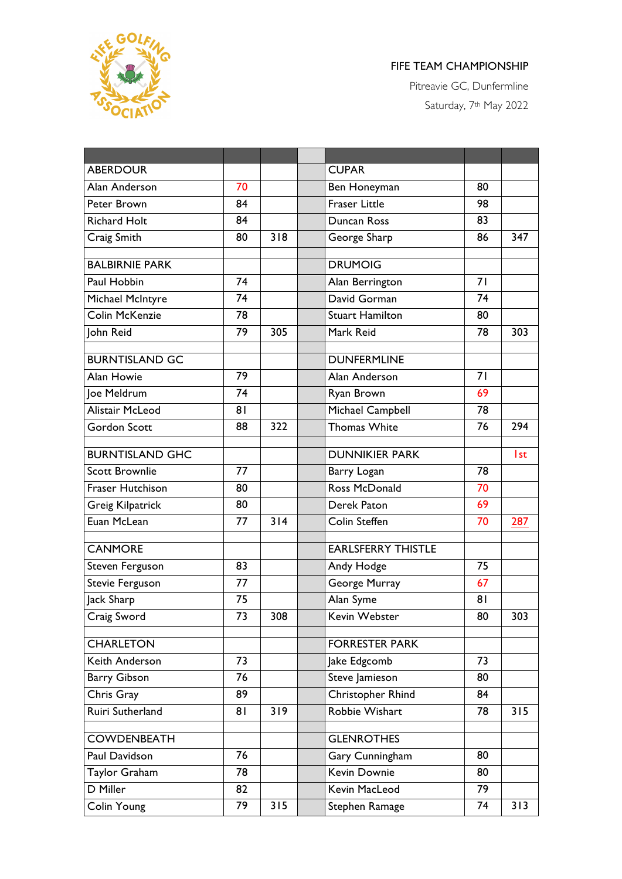

## FIFE TEAM CHAMPIONSHIP

Pitreavie GC, Dunfermline Saturday, 7<sup>th</sup> May 2022

| <b>ABERDOUR</b>         |    |     | <b>CUPAR</b>              |    |            |
|-------------------------|----|-----|---------------------------|----|------------|
| Alan Anderson           | 70 |     | Ben Honeyman              | 80 |            |
| Peter Brown             | 84 |     | <b>Fraser Little</b>      | 98 |            |
| <b>Richard Holt</b>     | 84 |     | Duncan Ross               | 83 |            |
| Craig Smith             | 80 | 318 | George Sharp              | 86 | 347        |
| <b>BALBIRNIE PARK</b>   |    |     | <b>DRUMOIG</b>            |    |            |
| Paul Hobbin             | 74 |     | Alan Berrington           | 71 |            |
| Michael McIntyre        | 74 |     | David Gorman              | 74 |            |
| Colin McKenzie          | 78 |     | <b>Stuart Hamilton</b>    | 80 |            |
| John Reid               | 79 | 305 | Mark Reid                 | 78 | 303        |
|                         |    |     |                           |    |            |
| <b>BURNTISLAND GC</b>   |    |     | <b>DUNFERMLINE</b>        |    |            |
| Alan Howie              | 79 |     | Alan Anderson             | 71 |            |
| Joe Meldrum             | 74 |     | Ryan Brown                | 69 |            |
| Alistair McLeod         | 81 |     | Michael Campbell          | 78 |            |
| Gordon Scott            | 88 | 322 | <b>Thomas White</b>       | 76 | 294        |
| <b>BURNTISLAND GHC</b>  |    |     | <b>DUNNIKIER PARK</b>     |    | <b>Ist</b> |
| <b>Scott Brownlie</b>   | 77 |     | Barry Logan               | 78 |            |
| Fraser Hutchison        | 80 |     | Ross McDonald             | 70 |            |
| <b>Greig Kilpatrick</b> | 80 |     | Derek Paton               | 69 |            |
| Euan McLean             | 77 | 314 | Colin Steffen             | 70 | 287        |
|                         |    |     | <b>EARLSFERRY THISTLE</b> |    |            |
| <b>CANMORE</b>          |    |     |                           |    |            |
| Steven Ferguson         | 83 |     | Andy Hodge                | 75 |            |
| <b>Stevie Ferguson</b>  | 77 |     | George Murray             | 67 |            |
| Jack Sharp              | 75 |     | Alan Syme                 | 81 |            |
| Craig Sword             | 73 | 308 | Kevin Webster             | 80 | 303        |
| <b>CHARLETON</b>        |    |     | <b>FORRESTER PARK</b>     |    |            |
| Keith Anderson          | 73 |     | Jake Edgcomb              | 73 |            |
| <b>Barry Gibson</b>     | 76 |     | Steve Jamieson            | 80 |            |
| Chris Gray              | 89 |     | Christopher Rhind         | 84 |            |
| Ruiri Sutherland        | 81 | 319 | Robbie Wishart            | 78 | 315        |
| <b>COWDENBEATH</b>      |    |     | <b>GLENROTHES</b>         |    |            |
| Paul Davidson           | 76 |     | Gary Cunningham           | 80 |            |
| Taylor Graham           | 78 |     | Kevin Downie              | 80 |            |
| D Miller                | 82 |     | Kevin MacLeod             | 79 |            |
| Colin Young             | 79 | 315 | Stephen Ramage            | 74 | 313        |